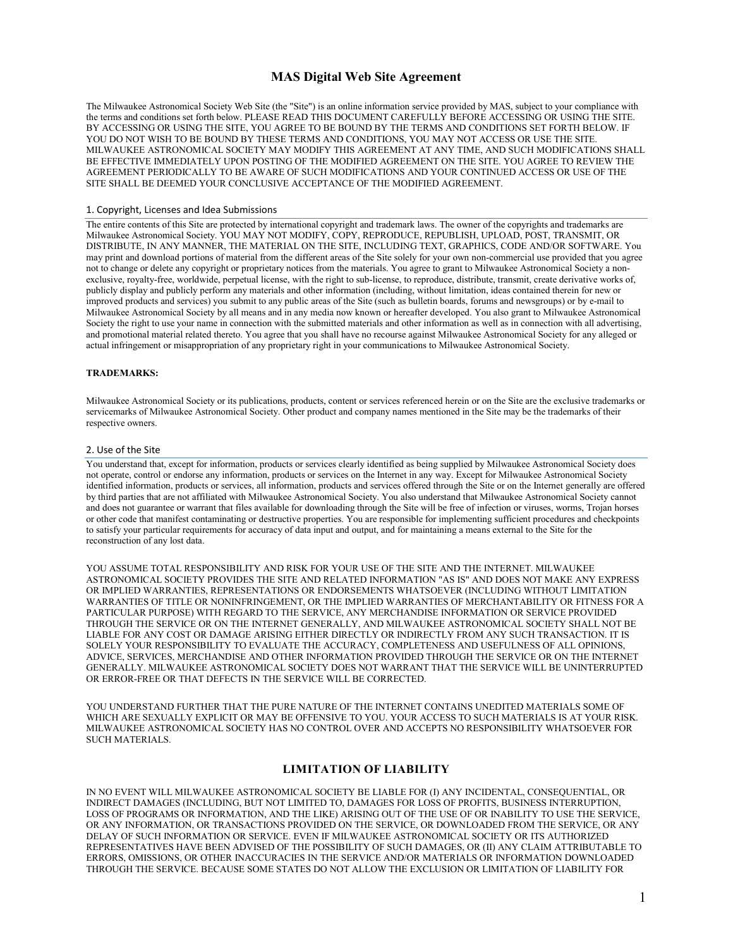# **MAS Digital Web Site Agreement**

The Milwaukee Astronomical Society Web Site (the "Site") is an online information service provided by MAS, subject to your compliance with the terms and conditions set forth below. PLEASE READ THIS DOCUMENT CAREFULLY BEFORE ACCESSING OR USING THE SITE. BY ACCESSING OR USING THE SITE, YOU AGREE TO BE BOUND BY THE TERMS AND CONDITIONS SET FORTH BELOW. IF YOU DO NOT WISH TO BE BOUND BY THESE TERMS AND CONDITIONS, YOU MAY NOT ACCESS OR USE THE SITE. MILWAUKEE ASTRONOMICAL SOCIETY MAY MODIFY THIS AGREEMENT AT ANY TIME, AND SUCH MODIFICATIONS SHALL BE EFFECTIVE IMMEDIATELY UPON POSTING OF THE MODIFIED AGREEMENT ON THE SITE. YOU AGREE TO REVIEW THE AGREEMENT PERIODICALLY TO BE AWARE OF SUCH MODIFICATIONS AND YOUR CONTINUED ACCESS OR USE OF THE SITE SHALL BE DEEMED YOUR CONCLUSIVE ACCEPTANCE OF THE MODIFIED AGREEMENT.

## 1. Copyright, Licenses and Idea Submissions

The entire contents of this Site are protected by international copyright and trademark laws. The owner of the copyrights and trademarks are Milwaukee Astronomical Society. YOU MAY NOT MODIFY, COPY, REPRODUCE, REPUBLISH, UPLOAD, POST, TRANSMIT, OR DISTRIBUTE, IN ANY MANNER, THE MATERIAL ON THE SITE, INCLUDING TEXT, GRAPHICS, CODE AND/OR SOFTWARE. You may print and download portions of material from the different areas of the Site solely for your own non-commercial use provided that you agree not to change or delete any copyright or proprietary notices from the materials. You agree to grant to Milwaukee Astronomical Society a nonexclusive, royalty-free, worldwide, perpetual license, with the right to sub-license, to reproduce, distribute, transmit, create derivative works of, publicly display and publicly perform any materials and other information (including, without limitation, ideas contained therein for new or improved products and services) you submit to any public areas of the Site (such as bulletin boards, forums and newsgroups) or by e-mail to Milwaukee Astronomical Society by all means and in any media now known or hereafter developed. You also grant to Milwaukee Astronomical Society the right to use your name in connection with the submitted materials and other information as well as in connection with all advertising, and promotional material related thereto. You agree that you shall have no recourse against Milwaukee Astronomical Society for any alleged or actual infringement or misappropriation of any proprietary right in your communications to Milwaukee Astronomical Society.

#### **TRADEMARKS:**

Milwaukee Astronomical Society or its publications, products, content or services referenced herein or on the Site are the exclusive trademarks or servicemarks of Milwaukee Astronomical Society. Other product and company names mentioned in the Site may be the trademarks of their respective owners.

## 2. Use of the Site

You understand that, except for information, products or services clearly identified as being supplied by Milwaukee Astronomical Society does not operate, control or endorse any information, products or services on the Internet in any way. Except for Milwaukee Astronomical Society identified information, products or services, all information, products and services offered through the Site or on the Internet generally are offered by third parties that are not affiliated with Milwaukee Astronomical Society. You also understand that Milwaukee Astronomical Society cannot and does not guarantee or warrant that files available for downloading through the Site will be free of infection or viruses, worms, Trojan horses or other code that manifest contaminating or destructive properties. You are responsible for implementing sufficient procedures and checkpoints to satisfy your particular requirements for accuracy of data input and output, and for maintaining a means external to the Site for the reconstruction of any lost data.

YOU ASSUME TOTAL RESPONSIBILITY AND RISK FOR YOUR USE OF THE SITE AND THE INTERNET. MILWAUKEE ASTRONOMICAL SOCIETY PROVIDES THE SITE AND RELATED INFORMATION "AS IS" AND DOES NOT MAKE ANY EXPRESS OR IMPLIED WARRANTIES, REPRESENTATIONS OR ENDORSEMENTS WHATSOEVER (INCLUDING WITHOUT LIMITATION WARRANTIES OF TITLE OR NONINFRINGEMENT, OR THE IMPLIED WARRANTIES OF MERCHANTABILITY OR FITNESS FOR A PARTICULAR PURPOSE) WITH REGARD TO THE SERVICE, ANY MERCHANDISE INFORMATION OR SERVICE PROVIDED THROUGH THE SERVICE OR ON THE INTERNET GENERALLY, AND MILWAUKEE ASTRONOMICAL SOCIETY SHALL NOT BE LIABLE FOR ANY COST OR DAMAGE ARISING EITHER DIRECTLY OR INDIRECTLY FROM ANY SUCH TRANSACTION. IT IS SOLELY YOUR RESPONSIBILITY TO EVALUATE THE ACCURACY, COMPLETENESS AND USEFULNESS OF ALL OPINIONS, ADVICE, SERVICES, MERCHANDISE AND OTHER INFORMATION PROVIDED THROUGH THE SERVICE OR ON THE INTERNET GENERALLY. MILWAUKEE ASTRONOMICAL SOCIETY DOES NOT WARRANT THAT THE SERVICE WILL BE UNINTERRUPTED OR ERROR-FREE OR THAT DEFECTS IN THE SERVICE WILL BE CORRECTED.

YOU UNDERSTAND FURTHER THAT THE PURE NATURE OF THE INTERNET CONTAINS UNEDITED MATERIALS SOME OF WHICH ARE SEXUALLY EXPLICIT OR MAY BE OFFENSIVE TO YOU. YOUR ACCESS TO SUCH MATERIALS IS AT YOUR RISK. MILWAUKEE ASTRONOMICAL SOCIETY HAS NO CONTROL OVER AND ACCEPTS NO RESPONSIBILITY WHATSOEVER FOR SUCH MATERIALS.

## **LIMITATION OF LIABILITY**

IN NO EVENT WILL MILWAUKEE ASTRONOMICAL SOCIETY BE LIABLE FOR (I) ANY INCIDENTAL, CONSEQUENTIAL, OR INDIRECT DAMAGES (INCLUDING, BUT NOT LIMITED TO, DAMAGES FOR LOSS OF PROFITS, BUSINESS INTERRUPTION, LOSS OF PROGRAMS OR INFORMATION, AND THE LIKE) ARISING OUT OF THE USE OF OR INABILITY TO USE THE SERVICE, OR ANY INFORMATION, OR TRANSACTIONS PROVIDED ON THE SERVICE, OR DOWNLOADED FROM THE SERVICE, OR ANY DELAY OF SUCH INFORMATION OR SERVICE. EVEN IF MILWAUKEE ASTRONOMICAL SOCIETY OR ITS AUTHORIZED REPRESENTATIVES HAVE BEEN ADVISED OF THE POSSIBILITY OF SUCH DAMAGES, OR (II) ANY CLAIM ATTRIBUTABLE TO ERRORS, OMISSIONS, OR OTHER INACCURACIES IN THE SERVICE AND/OR MATERIALS OR INFORMATION DOWNLOADED THROUGH THE SERVICE. BECAUSE SOME STATES DO NOT ALLOW THE EXCLUSION OR LIMITATION OF LIABILITY FOR